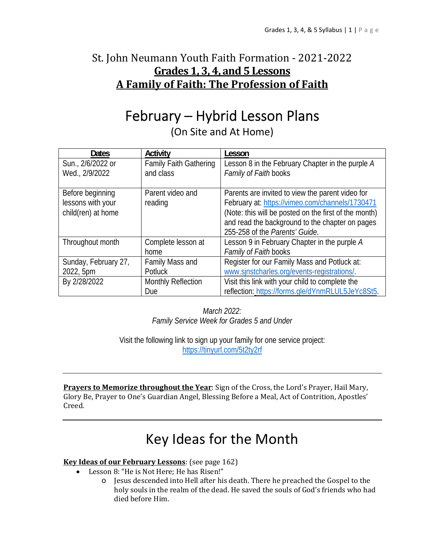## St. John Neumann Youth Faith Formation - 2021-2022 **Grades 1, 3, 4, and 5 Lessons A Family of Faith: The Profession of Faith**

## February – Hybrid Lesson Plans

(On Site and At Home)

| <b>Dates</b>         | Activity                      | Lesson                                                |
|----------------------|-------------------------------|-------------------------------------------------------|
| Sun., 2/6/2022 or    | <b>Family Faith Gathering</b> | Lesson 8 in the February Chapter in the purple A      |
| Wed., 2/9/2022       | and class                     | Family of Faith books                                 |
|                      |                               |                                                       |
| Before beginning     | Parent video and              | Parents are invited to view the parent video for      |
| lessons with your    | reading                       | February at: https://vimeo.com/channels/1730471       |
| child(ren) at home   |                               | (Note: this will be posted on the first of the month) |
|                      |                               | and read the background to the chapter on pages       |
|                      |                               | 255-258 of the Parents' Guide.                        |
| Throughout month     | Complete lesson at            | Lesson 9 in February Chapter in the purple A          |
|                      | home                          | Family of Faith books                                 |
| Sunday, February 27, | Family Mass and               | Register for our Family Mass and Potluck at:          |
| 2022, 5pm            | Potluck                       | www.sjnstcharles.org/events-registrations/.           |
| By 2/28/2022         | <b>Monthly Reflection</b>     | Visit this link with your child to complete the       |
|                      | Due                           | reflection: https://forms.gle/dYnmRLUL5JeYc8St5.      |

*March 2022: Family Service Week for Grades 5 and Under* 

Visit the following link to sign up your family for one service project: https://tinyurl.com/5t2ty2rf

**Prayers to Memorize throughout the Year**: Sign of the Cross, the Lord's Prayer, Hail Mary, Glory Be, Prayer to One's Guardian Angel, Blessing Before a Meal, Act of Contrition, Apostles' Creed.

## Key Ideas for the Month

#### **Key Ideas of our February Lessons**: (see page 162)

- Lesson 8: "He is Not Here; He has Risen!"
	- o Jesus descended into Hell after his death. There he preached the Gospel to the holy souls in the realm of the dead. He saved the souls of God's friends who had died before Him.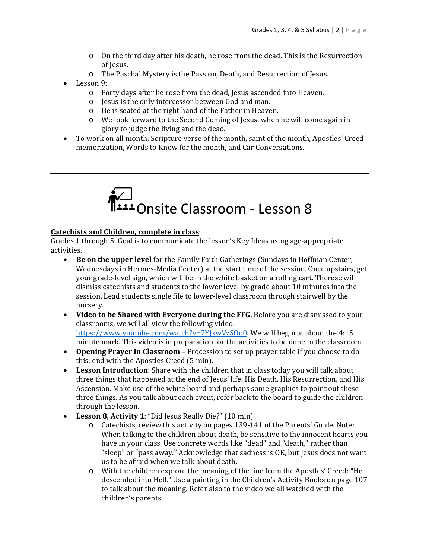- o On the third day after his death, he rose from the dead. This is the Resurrection of Jesus.
- o The Paschal Mystery is the Passion, Death, and Resurrection of Jesus.
- Lesson 9:
	- o Forty days after he rose from the dead, Jesus ascended into Heaven.
	- o Jesus is the only intercessor between God and man.
	- o He is seated at the right hand of the Father in Heaven.
	- o We look forward to the Second Coming of Jesus, when he will come again in glory to judge the living and the dead.
- To work on all month: Scripture verse of the month, saint of the month, Apostles' Creed memorization, Words to Know for the month, and Car Conversations.



#### **Catechists and Children, complete in class**:

Grades 1 through 5: Goal is to communicate the lesson's Key Ideas using age-appropriate activities.

- **Be on the upper level** for the Family Faith Gatherings (Sundays in Hoffman Center; Wednesdays in Hermes-Media Center) at the start time of the session. Once upstairs, get your grade-level sign, which will be in the white basket on a rolling cart. Therese will dismiss catechists and students to the lower level by grade about 10 minutes into the session. Lead students single file to lower-level classroom through stairwell by the nursery.
- **Video to be Shared with Everyone during the FFG.** Before you are dismissed to your classrooms, we will all view the following video: https://www.youtube.com/watch?v=7YJxwVzSOo0. We will begin at about the 4:15 minute mark. This video is in preparation for the activities to be done in the classroom.
- **Opening Prayer in Classroom** Procession to set up prayer table if you choose to do this; end with the Apostles Creed (5 min).
- **Lesson Introduction**: Share with the children that in class today you will talk about three things that happened at the end of Jesus' life: His Death, His Resurrection, and His Ascension. Make use of the white board and perhaps some graphics to point out these three things. As you talk about each event, refer back to the board to guide the children through the lesson.
- **Lesson 8, Activity 1**: "Did Jesus Really Die?" (10 min)
	- o Catechists, review this activity on pages 139-141 of the Parents' Guide. Note: When talking to the children about death, be sensitive to the innocent hearts you have in your class. Use concrete words like "dead" and "death," rather than "sleep" or "pass away." Acknowledge that sadness is OK, but Jesus does not want us to be afraid when we talk about death.
	- o With the children explore the meaning of the line from the Apostles' Creed: "He descended into Hell." Use a painting in the Children's Activity Books on page 107 to talk about the meaning. Refer also to the video we all watched with the children's parents.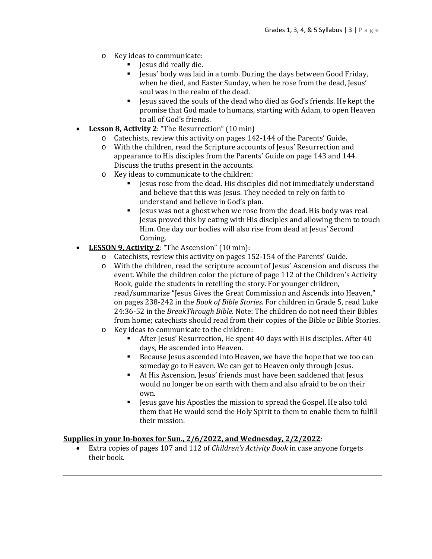- o Key ideas to communicate:
	- Jesus did really die.
	- Jesus' body was laid in a tomb. During the days between Good Friday, when he died, and Easter Sunday, when he rose from the dead, Jesus' soul was in the realm of the dead.
	- Jesus saved the souls of the dead who died as God's friends. He kept the promise that God made to humans, starting with Adam, to open Heaven to all of God's friends.
- **Lesson 8, Activity 2**: "The Resurrection" (10 min)
	- o Catechists, review this activity on pages 142-144 of the Parents' Guide.
	- o With the children, read the Scripture accounts of Jesus' Resurrection and appearance to His disciples from the Parents' Guide on page 143 and 144. Discuss the truths present in the accounts.
	- o Key ideas to communicate to the children:
		- Jesus rose from the dead. His disciples did not immediately understand and believe that this was Jesus. They needed to rely on faith to understand and believe in God's plan.
		- **Jesus was not a ghost when we rose from the dead. His body was real.** Jesus proved this by eating with His disciples and allowing them to touch Him. One day our bodies will also rise from dead at Jesus' Second Coming.
- **LESSON 9, Activity 2**: "The Ascension" (10 min):
	- o Catechists, review this activity on pages 152-154 of the Parents' Guide.
	- o With the children, read the scripture account of Jesus' Ascension and discuss the event. While the children color the picture of page 112 of the Children's Activity Book, guide the students in retelling the story. For younger children, read/summarize "Jesus Gives the Great Commission and Ascends into Heaven," on pages 238-242 in the *Book of Bible Stories*. For children in Grade 5, read Luke 24:36-52 in the *BreakThrough Bible.* Note: The children do not need their Bibles from home; catechists should read from their copies of the Bible or Bible Stories.
	- o Key ideas to communicate to the children:
		- After Jesus' Resurrection, He spent 40 days with His disciples. After 40 days, He ascended into Heaven.
		- Because Jesus ascended into Heaven, we have the hope that we too can someday go to Heaven. We can get to Heaven only through Jesus.
		- At His Ascension, Jesus' friends must have been saddened that Jesus would no longer be on earth with them and also afraid to be on their own.
		- Jesus gave his Apostles the mission to spread the Gospel. He also told them that He would send the Holy Spirit to them to enable them to fulfill their mission.

#### **Supplies in your In‐boxes for Sun., 2/6/2022, and Wednesday, 2/2/2022**:

 Extra copies of pages 107 and 112 of *Children's Activity Book* in case anyone forgets their book.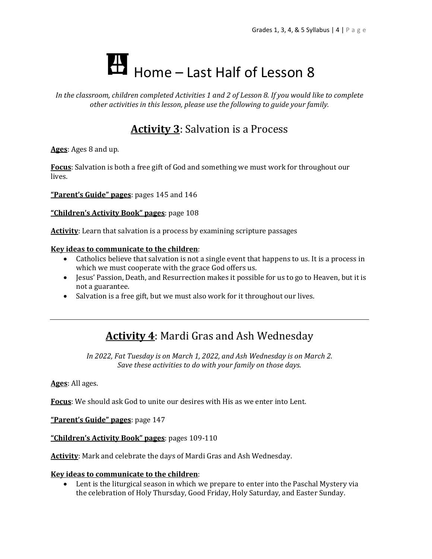# Home – Last Half of Lesson 8

*In the classroom, children completed Activities 1 and 2 of Lesson 8. If you would like to complete other activities in this lesson, please use the following to guide your family.*

## **Activity 3**: Salvation is a Process

**Ages**: Ages 8 and up.

**Focus**: Salvation is both a free gift of God and something we must work for throughout our lives.

**"Parent's Guide" pages**: pages 145 and 146

**"Children's Activity Book" pages**: page 108

**Activity**: Learn that salvation is a process by examining scripture passages

#### **Key ideas to communicate to the children**:

- Catholics believe that salvation is not a single event that happens to us. It is a process in which we must cooperate with the grace God offers us.
- Jesus' Passion, Death, and Resurrection makes it possible for us to go to Heaven, but it is not a guarantee.
- Salvation is a free gift, but we must also work for it throughout our lives.

### **Activity 4**: Mardi Gras and Ash Wednesday

*In 2022, Fat Tuesday is on March 1, 2022, and Ash Wednesday is on March 2. Save these activities to do with your family on those days.*

**Ages**: All ages.

**Focus**: We should ask God to unite our desires with His as we enter into Lent.

**"Parent's Guide" pages**: page 147

**"Children's Activity Book" pages**: pages 109-110

**Activity**: Mark and celebrate the days of Mardi Gras and Ash Wednesday.

#### **Key ideas to communicate to the children**:

 Lent is the liturgical season in which we prepare to enter into the Paschal Mystery via the celebration of Holy Thursday, Good Friday, Holy Saturday, and Easter Sunday.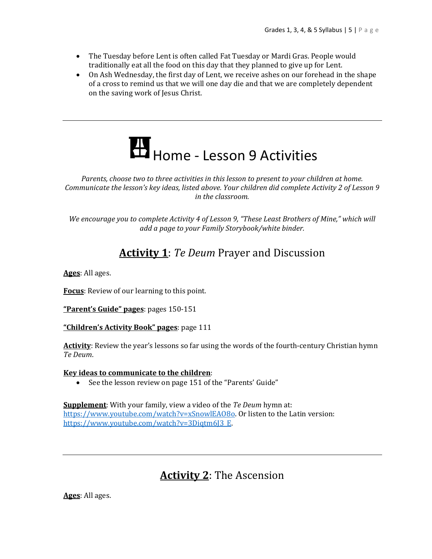- The Tuesday before Lent is often called Fat Tuesday or Mardi Gras. People would traditionally eat all the food on this day that they planned to give up for Lent.
- On Ash Wednesday, the first day of Lent, we receive ashes on our forehead in the shape of a cross to remind us that we will one day die and that we are completely dependent on the saving work of Jesus Christ.

# Home - Lesson 9 Activities

*Parents, choose two to three activities in this lesson to present to your children at home. Communicate the lesson's key ideas, listed above. Your children did complete Activity 2 of Lesson 9 in the classroom.* 

*We encourage you to complete Activity 4 of Lesson 9, "These Least Brothers of Mine," which will add a page to your Family Storybook/white binder.* 

## **Activity 1**: *Te Deum* Prayer and Discussion

**Ages**: All ages.

**Focus**: Review of our learning to this point.

**"Parent's Guide" pages**: pages 150-151

**"Children's Activity Book" pages**: page 111

**Activity**: Review the year's lessons so far using the words of the fourth-century Christian hymn *Te Deum*.

#### **Key ideas to communicate to the children**:

• See the lesson review on page 151 of the "Parents' Guide"

**Supplement**: With your family, view a video of the *Te Deum* hymn at: https://www.youtube.com/watch?v=xSnowlEAO8o. Or listen to the Latin version: https://www.youtube.com/watch?v=3Diqtm6J3\_E.

## **Activity 2**: The Ascension

**Ages**: All ages.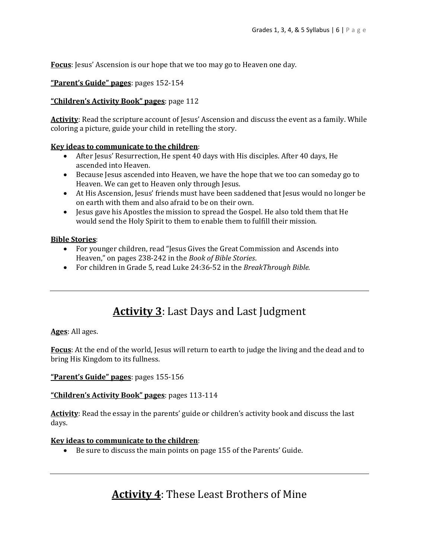**Focus**: Jesus' Ascension is our hope that we too may go to Heaven one day.

#### **"Parent's Guide" pages**: pages 152-154

#### **"Children's Activity Book" pages**: page 112

Activity: Read the scripture account of Jesus' Ascension and discuss the event as a family. While coloring a picture, guide your child in retelling the story.

#### **Key ideas to communicate to the children**:

- After Jesus' Resurrection, He spent 40 days with His disciples. After 40 days, He ascended into Heaven.
- Because Jesus ascended into Heaven, we have the hope that we too can someday go to Heaven. We can get to Heaven only through Jesus.
- At His Ascension, Jesus' friends must have been saddened that Jesus would no longer be on earth with them and also afraid to be on their own.
- Jesus gave his Apostles the mission to spread the Gospel. He also told them that He would send the Holy Spirit to them to enable them to fulfill their mission.

#### **Bible Stories**:

- For younger children, read "Jesus Gives the Great Commission and Ascends into Heaven," on pages 238-242 in the *Book of Bible Stories*.
- For children in Grade 5, read Luke 24:36-52 in the *BreakThrough Bible.*

## **Activity 3**: Last Days and Last Judgment

**Ages**: All ages.

**Focus**: At the end of the world, Jesus will return to earth to judge the living and the dead and to bring His Kingdom to its fullness.

**"Parent's Guide" pages**: pages 155-156

**"Children's Activity Book" pages**: pages 113-114

Activity: Read the essay in the parents' guide or children's activity book and discuss the last days.

#### **Key ideas to communicate to the children**:

Be sure to discuss the main points on page 155 of the Parents' Guide.

### **Activity 4**: These Least Brothers of Mine